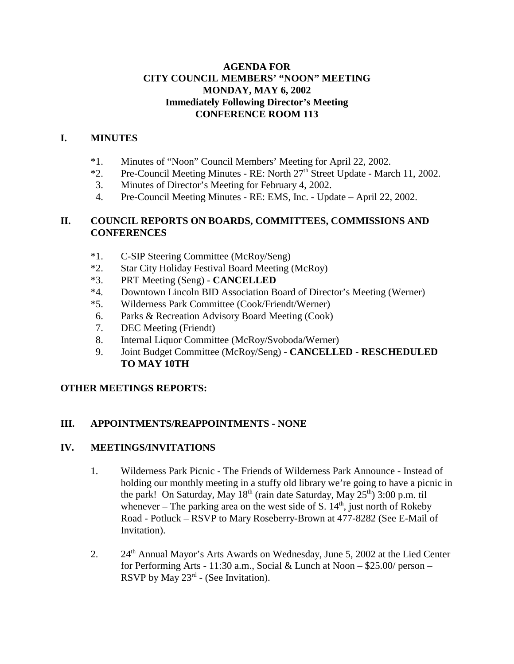### **AGENDA FOR CITY COUNCIL MEMBERS' "NOON" MEETING MONDAY, MAY 6, 2002 Immediately Following Director's Meeting CONFERENCE ROOM 113**

### **I. MINUTES**

- \*1. Minutes of "Noon" Council Members' Meeting for April 22, 2002.
- $*2.$  Pre-Council Meeting Minutes RE: North  $27<sup>th</sup>$  Street Update March 11, 2002.
- 3. Minutes of Director's Meeting for February 4, 2002.
- 4. Pre-Council Meeting Minutes RE: EMS, Inc. Update April 22, 2002.

### **II. COUNCIL REPORTS ON BOARDS, COMMITTEES, COMMISSIONS AND CONFERENCES**

- \*1. C-SIP Steering Committee (McRoy/Seng)
- \*2. Star City Holiday Festival Board Meeting (McRoy)
- \*3. PRT Meeting (Seng) **CANCELLED**
- \*4. Downtown Lincoln BID Association Board of Director's Meeting (Werner)
- \*5. Wilderness Park Committee (Cook/Friendt/Werner)
- 6. Parks & Recreation Advisory Board Meeting (Cook)
- 7. DEC Meeting (Friendt)
- 8. Internal Liquor Committee (McRoy/Svoboda/Werner)
- 9. Joint Budget Committee (McRoy/Seng) **CANCELLED RESCHEDULED TO MAY 10TH**

# **OTHER MEETINGS REPORTS:**

# **III. APPOINTMENTS/REAPPOINTMENTS - NONE**

### **IV. MEETINGS/INVITATIONS**

- 1. Wilderness Park Picnic The Friends of Wilderness Park Announce Instead of holding our monthly meeting in a stuffy old library we're going to have a picnic in the park! On Saturday, May  $18<sup>th</sup>$  (rain date Saturday, May  $25<sup>th</sup>$ ) 3:00 p.m. til whenever – The parking area on the west side of S.  $14<sup>th</sup>$ , just north of Rokeby Road - Potluck – RSVP to Mary Roseberry-Brown at 477-8282 (See E-Mail of Invitation).
- 2.  $24<sup>th</sup>$  Annual Mayor's Arts Awards on Wednesday, June 5, 2002 at the Lied Center for Performing Arts - 11:30 a.m., Social & Lunch at Noon – \$25.00/ person – RSVP by May  $23^{rd}$  - (See Invitation).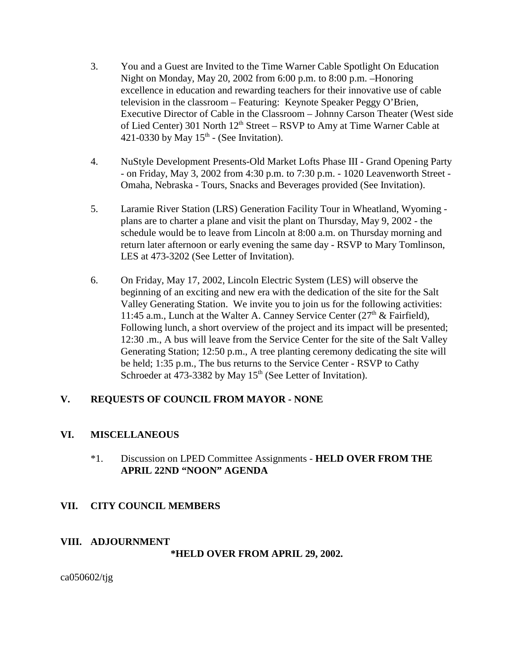- 3. You and a Guest are Invited to the Time Warner Cable Spotlight On Education Night on Monday, May 20, 2002 from 6:00 p.m. to 8:00 p.m. –Honoring excellence in education and rewarding teachers for their innovative use of cable television in the classroom – Featuring: Keynote Speaker Peggy O'Brien, Executive Director of Cable in the Classroom – Johnny Carson Theater (West side of Lied Center) 301 North  $12<sup>th</sup>$  Street – RSVP to Amy at Time Warner Cable at 421-0330 by May  $15<sup>th</sup>$  - (See Invitation).
- 4. NuStyle Development Presents-Old Market Lofts Phase III Grand Opening Party - on Friday, May 3, 2002 from 4:30 p.m. to 7:30 p.m. - 1020 Leavenworth Street - Omaha, Nebraska - Tours, Snacks and Beverages provided (See Invitation).
- 5. Laramie River Station (LRS) Generation Facility Tour in Wheatland, Wyoming plans are to charter a plane and visit the plant on Thursday, May 9, 2002 - the schedule would be to leave from Lincoln at 8:00 a.m. on Thursday morning and return later afternoon or early evening the same day - RSVP to Mary Tomlinson, LES at 473-3202 (See Letter of Invitation).
- 6. On Friday, May 17, 2002, Lincoln Electric System (LES) will observe the beginning of an exciting and new era with the dedication of the site for the Salt Valley Generating Station. We invite you to join us for the following activities: 11:45 a.m., Lunch at the Walter A. Canney Service Center  $(27<sup>th</sup> \&$  Fairfield), Following lunch, a short overview of the project and its impact will be presented; 12:30 .m., A bus will leave from the Service Center for the site of the Salt Valley Generating Station; 12:50 p.m., A tree planting ceremony dedicating the site will be held; 1:35 p.m., The bus returns to the Service Center - RSVP to Cathy Schroeder at  $473-3382$  by May  $15<sup>th</sup>$  (See Letter of Invitation).

# **V. REQUESTS OF COUNCIL FROM MAYOR - NONE**

### **VI. MISCELLANEOUS**

\*1. Discussion on LPED Committee Assignments - **HELD OVER FROM THE APRIL 22ND "NOON" AGENDA** 

# **VII. CITY COUNCIL MEMBERS**

### **VIII. ADJOURNMENT**

### **\*HELD OVER FROM APRIL 29, 2002.**

ca050602/tjg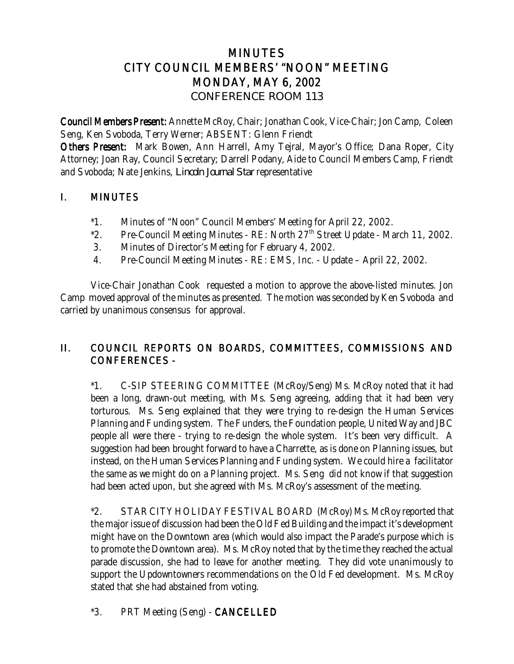# MINUTES CITY COUNCIL MEMBERS' "NOON" MEETING MONDAY, MAY 6, 2002 *CONFERENCE ROOM 113*

Council Members Present: Annette McRoy, Chair; Jonathan Cook, Vice-Chair; Jon Camp, Coleen Seng, Ken Svoboda, Terry Werner; ABSENT: Glenn Friendt

Others Present: Mark Bowen, Ann Harrell, Amy Tejral, Mayor's Office; Dana Roper, City Attorney; Joan Ray, Council Secretary; Darrell Podany, Aide to Council Members Camp, Friendt and Svoboda; Nate Jenkins, *Lincoln Journal Star* representative

# I. MINUTES

- \*1. Minutes of "Noon" Council Members' Meeting for April 22, 2002.
- \*2. Pre-Council Meeting Minutes RE: North  $27<sup>th</sup>$  Street Update March 11, 2002.
- 3. Minutes of Director's Meeting for February 4, 2002.
- 4. Pre-Council Meeting Minutes RE: EMS, Inc. Update April 22, 2002.

Vice-Chair Jonathan Cook requested a motion to approve the above-listed minutes. Jon Camp moved approval of the minutes as presented. The motion was seconded by Ken Svoboda and carried by unanimous consensus for approval.

# II. COUNCIL REPORTS ON BOARDS, COMMITTEES, COMMISSIONS AND CONFERENCES -

\*1. C-SIP STEERING COMMITTEE (McRoy/Seng) Ms. McRoy noted that it had been a long, drawn-out meeting, with Ms. Seng agreeing, adding that it had been very torturous. Ms. Seng explained that they were trying to re-design the Human Services Planning and Funding system. The Funders, the Foundation people, United Way and JBC people all were there - trying to re-design the whole system. It's been very difficult. A suggestion had been brought forward to have a Charrette, as is done on Planning issues, but instead, on the Human Services Planning and Funding system. We could hire a facilitator the same as we might do on a Planning project. Ms. Seng did not know if that suggestion had been acted upon, but she agreed with Ms. McRoy's assessment of the meeting.

\*2. STAR CITY HOLIDAY FESTIVAL BOARD (McRoy) Ms. McRoy reported that the major issue of discussion had been the Old Fed Building and the impact it's development might have on the Downtown area (which would also impact the Parade's purpose which is to promote the Downtown area). Ms. McRoy noted that by the time they reached the actual parade discussion, she had to leave for another meeting. They did vote unanimously to support the Updowntowners recommendations on the Old Fed development. Ms. McRoy stated that she had abstained from voting.

\*3. PRT Meeting (Seng) - CANCELLED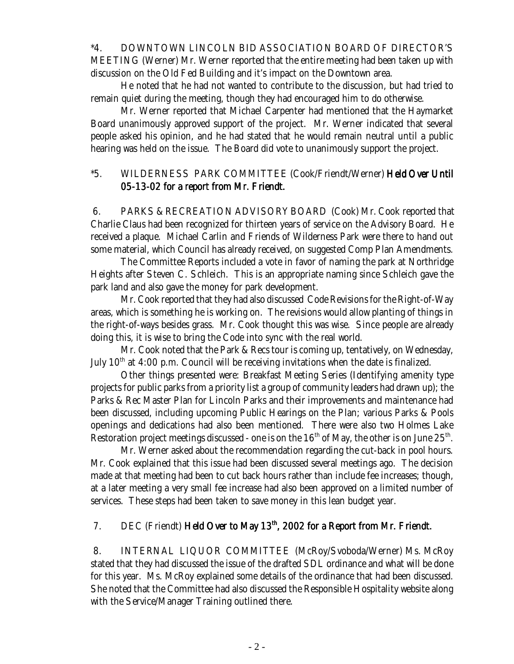\*4. DOWNTOWN LINCOLN BID ASSOCIATION BOARD OF DIRECTOR'S MEETING (Werner) Mr. Werner reported that the entire meeting had been taken up with discussion on the Old Fed Building and it's impact on the Downtown area.

He noted that he had not wanted to contribute to the discussion, but had tried to remain quiet during the meeting, though they had encouraged him to do otherwise.

Mr. Werner reported that Michael Carpenter had mentioned that the Haymarket Board unanimously approved support of the project. Mr. Werner indicated that several people asked his opinion, and he had stated that he would remain neutral until a public hearing was held on the issue. The Board did vote to unanimously support the project.

### \*5. WILDERNESS PARK COMMITTEE (Cook/Friendt/Werner) Held Over Until 05-13-02 for a report from Mr. Friendt.

 6. PARKS & RECREATION ADVISORY BOARD (Cook) Mr. Cook reported that Charlie Claus had been recognized for thirteen years of service on the Advisory Board. He received a plaque. Michael Carlin and Friends of Wilderness Park were there to hand out some material, which Council has already received, on suggested Comp Plan Amendments.

The Committee Reports included a vote in favor of naming the park at Northridge Heights after Steven C. Schleich. This is an appropriate naming since Schleich gave the park land and also gave the money for park development.

Mr. Cook reported that they had also discussed Code Revisions for the Right-of-Way areas, which is something he is working on. The revisions would allow planting of things in the right-of-ways besides grass. Mr. Cook thought this was wise. Since people are already doing this, it is wise to bring the Code into sync with the real world.

Mr. Cook noted that the Park & Recs tour is coming up, tentatively, on Wednesday, July  $10<sup>th</sup>$  at 4:00 p.m. Council will be receiving invitations when the date is finalized.

Other things presented were: Breakfast Meeting Series (Identifying amenity type projects for public parks from a priority list a group of community leaders had drawn up); the Parks & Rec Master Plan for Lincoln Parks and their improvements and maintenance had been discussed, including upcoming Public Hearings on the Plan; various Parks & Pools openings and dedications had also been mentioned. There were also two Holmes Lake Restoration project meetings discussed - one is on the  $16<sup>th</sup>$  of May, the other is on June  $25<sup>th</sup>$ .

Mr. Werner asked about the recommendation regarding the cut-back in pool hours. Mr. Cook explained that this issue had been discussed several meetings ago. The decision made at that meeting had been to cut back hours rather than include fee increases; though, at a later meeting a very small fee increase had also been approved on a limited number of services. These steps had been taken to save money in this lean budget year.

### 7. DEC (Friendt) Held Over to May  $13<sup>th</sup>$ , 2002 for a Report from Mr. Friendt.

 8. INTERNAL LIQUOR COMMITTEE (McRoy/Svoboda/Werner) Ms. McRoy stated that they had discussed the issue of the drafted SDL ordinance and what will be done for this year. Ms. McRoy explained some details of the ordinance that had been discussed. She noted that the Committee had also discussed the Responsible Hospitality website along with the Service/Manager Training outlined there.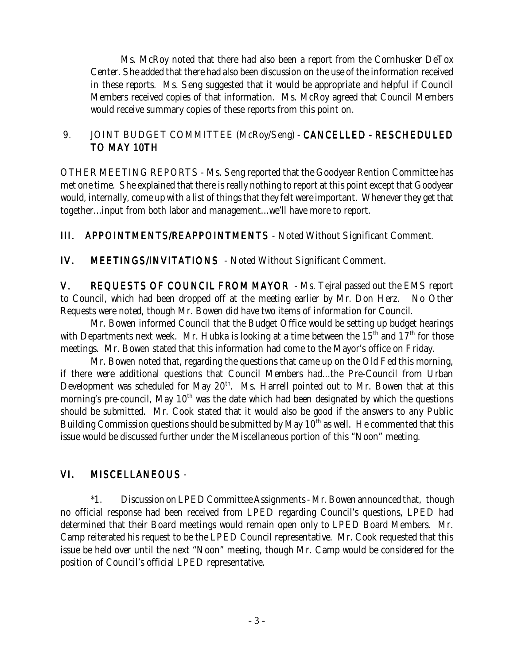Ms. McRoy noted that there had also been a report from the Cornhusker DeTox Center. She added that there had also been discussion on the use of the information received in these reports. Ms. Seng suggested that it would be appropriate and helpful if Council Members received copies of that information. Ms. McRoy agreed that Council Members would receive summary copies of these reports from this point on.

# 9. JOINT BUDGET COMMITTEE (McRoy/Seng) - CANCELLED - RESCHEDULED TO MAY 10TH

OTHER MEETING REPORTS - Ms. Seng reported that the Goodyear Rention Committee has met one time. She explained that there is really nothing to report at this point except that Goodyear would, internally, come up with a list of things that they felt were important. Whenever they get that together...input from both labor and management...we'll have more to report.

III. APPOINTMENTS/REAPPOINTMENTS - Noted Without Significant Comment.

IV. MEETINGS/INVITATIONS - Noted Without Significant Comment.

V. REQUESTS OF COUNCIL FROM MAYOR - Ms. Tejral passed out the EMS report to Council, which had been dropped off at the meeting earlier by Mr. Don Herz. No Other Requests were noted, though Mr. Bowen did have two items of information for Council.

Mr. Bowen informed Council that the Budget Office would be setting up budget hearings with Departments next week. Mr. Hubka is looking at a time between the  $15<sup>th</sup>$  and  $17<sup>th</sup>$  for those meetings. Mr. Bowen stated that this information had come to the Mayor's office on Friday.

Mr. Bowen noted that, regarding the questions that came up on the Old Fed this morning, if there were additional questions that Council Members had...the Pre-Council from Urban Development was scheduled for May 20<sup>th</sup>. Ms. Harrell pointed out to Mr. Bowen that at this morning's pre-council, May  $10<sup>th</sup>$  was the date which had been designated by which the questions should be submitted. Mr. Cook stated that it would also be good if the answers to any Public Building Commission questions should be submitted by May  $10<sup>th</sup>$  as well. He commented that this issue would be discussed further under the Miscellaneous portion of this "Noon" meeting.

# VI. MISCELLANEOUS -

\*1. Discussion on LPED Committee Assignments - Mr. Bowen announced that, though no official response had been received from LPED regarding Council's questions, LPED had determined that their Board meetings would remain open only to LPED Board Members. Mr. Camp reiterated his request to be the LPED Council representative. Mr. Cook requested that this issue be held over until the next "Noon" meeting, though Mr. Camp would be considered for the position of Council's official LPED representative.